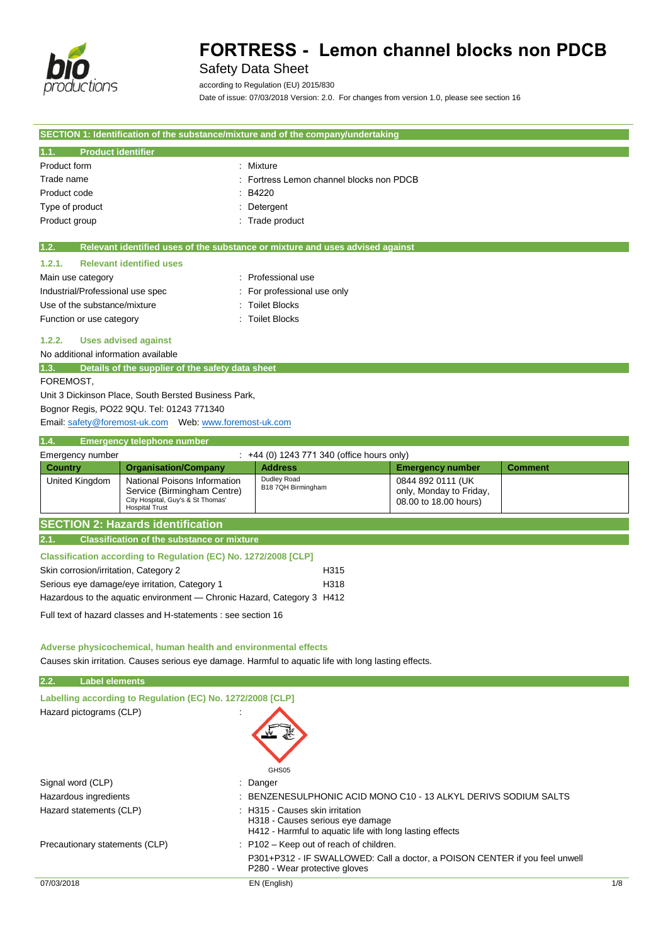

## Safety Data Sheet

according to Regulation (EU) 2015/830

Date of issue: 07/03/2018 Version: 2.0. For changes from version 1.0, please see section 16

|                                                                                                                                             |                                        | SECTION 1: Identification of the substance/mixture and of the company/undertaking |                |  |
|---------------------------------------------------------------------------------------------------------------------------------------------|----------------------------------------|-----------------------------------------------------------------------------------|----------------|--|
| <b>Product identifier</b><br>1.1.                                                                                                           |                                        |                                                                                   |                |  |
| Product form                                                                                                                                | : Mixture                              |                                                                                   |                |  |
| Trade name                                                                                                                                  | Fortress Lemon channel blocks non PDCB |                                                                                   |                |  |
| Product code                                                                                                                                | B4220                                  |                                                                                   |                |  |
| Type of product                                                                                                                             | Detergent                              |                                                                                   |                |  |
| Product group                                                                                                                               | Trade product                          |                                                                                   |                |  |
| Relevant identified uses of the substance or mixture and uses advised against<br>1.2.                                                       |                                        |                                                                                   |                |  |
| <b>Relevant identified uses</b><br>1.2.1.                                                                                                   |                                        |                                                                                   |                |  |
| Main use category                                                                                                                           | : Professional use                     |                                                                                   |                |  |
| Industrial/Professional use spec                                                                                                            | For professional use only              |                                                                                   |                |  |
| Use of the substance/mixture                                                                                                                | <b>Toilet Blocks</b>                   |                                                                                   |                |  |
| Function or use category                                                                                                                    | <b>Toilet Blocks</b>                   |                                                                                   |                |  |
| 1.2.2.<br><b>Uses advised against</b>                                                                                                       |                                        |                                                                                   |                |  |
| No additional information available                                                                                                         |                                        |                                                                                   |                |  |
| 1.3.<br>Details of the supplier of the safety data sheet                                                                                    |                                        |                                                                                   |                |  |
| FOREMOST.                                                                                                                                   |                                        |                                                                                   |                |  |
| Unit 3 Dickinson Place, South Bersted Business Park,                                                                                        |                                        |                                                                                   |                |  |
| Bognor Regis, PO22 9QU. Tel: 01243 771340                                                                                                   |                                        |                                                                                   |                |  |
|                                                                                                                                             |                                        |                                                                                   |                |  |
| 1.4.<br><b>Emergency telephone number</b>                                                                                                   |                                        |                                                                                   |                |  |
| Emergency number<br>: +44 (0) 1243 771 340 (office hours only)                                                                              |                                        |                                                                                   |                |  |
| <b>Organisation/Company</b><br><b>Country</b>                                                                                               | <b>Address</b>                         | <b>Emergency number</b>                                                           | <b>Comment</b> |  |
| National Poisons Information<br>United Kingdom<br>Service (Birmingham Centre)<br>City Hospital, Guy's & St Thomas'<br><b>Hospital Trust</b> | Dudley Road<br>B18 7QH Birmingham      | 0844 892 0111 (UK<br>only, Monday to Friday,<br>08.00 to 18.00 hours)             |                |  |
| <b>SECTION 2: Hazards identification</b>                                                                                                    |                                        |                                                                                   |                |  |

#### **2.1. Classification of the substance or mixture**

| Classification according to Regulation (EC) No. 1272/2008 [CLP] |                  |
|-----------------------------------------------------------------|------------------|
| Skin corrosion/irritation, Category 2                           | H <sub>315</sub> |
| Serious eye damage/eye irritation, Category 1                   | H318             |
|                                                                 |                  |

Hazardous to the aquatic environment — Chronic Hazard, Category 3 H412

Full text of hazard classes and H-statements : see section 16

## **Adverse physicochemical, human health and environmental effects**

Causes skin irritation. Causes serious eye damage. Harmful to aquatic life with long lasting effects.

| 2.2.       | <b>Label elements</b>                                      |                                                                                                                                 |     |
|------------|------------------------------------------------------------|---------------------------------------------------------------------------------------------------------------------------------|-----|
|            | Labelling according to Regulation (EC) No. 1272/2008 [CLP] |                                                                                                                                 |     |
|            | Hazard pictograms (CLP)                                    | GHS05                                                                                                                           |     |
|            | Signal word (CLP)                                          | : Danger                                                                                                                        |     |
|            | Hazardous ingredients                                      | BENZENESULPHONIC ACID MONO C10 - 13 ALKYL DERIVS SODIUM SALTS                                                                   |     |
|            | Hazard statements (CLP)                                    | : H315 - Causes skin irritation<br>H318 - Causes serious eye damage<br>H412 - Harmful to aquatic life with long lasting effects |     |
|            | Precautionary statements (CLP)                             | $:$ P102 – Keep out of reach of children.                                                                                       |     |
|            |                                                            | P301+P312 - IF SWALLOWED: Call a doctor, a POISON CENTER if you feel unwell<br>P280 - Wear protective gloves                    |     |
| 07/03/2018 |                                                            | EN (English)                                                                                                                    | 1/8 |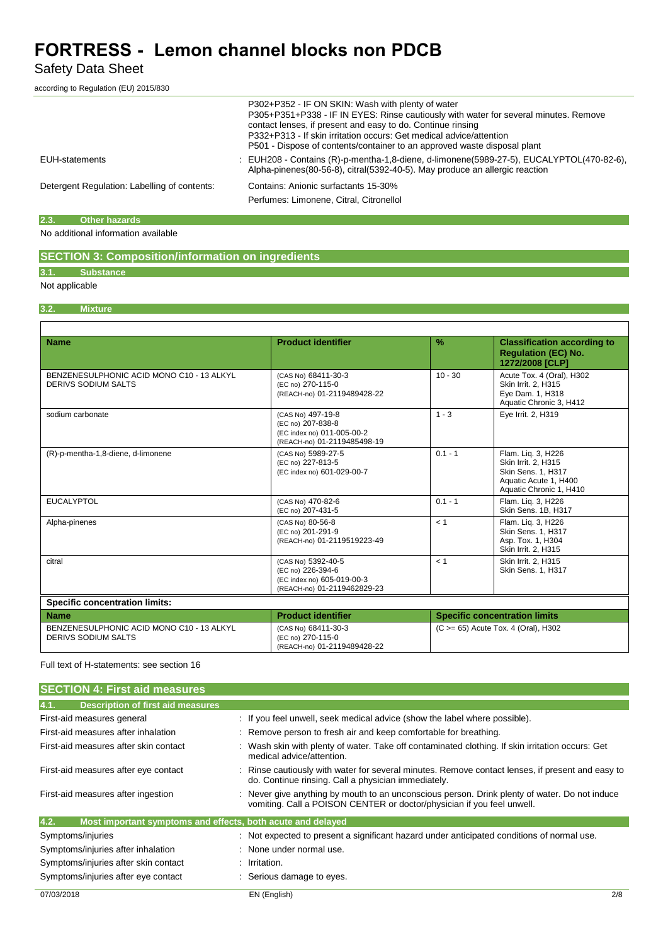Safety Data Sheet

according to Regulation (EU) 2015/830

|                                              | P302+P352 - IF ON SKIN: Wash with plenty of water<br>P305+P351+P338 - IF IN EYES: Rinse cautiously with water for several minutes. Remove<br>contact lenses, if present and easy to do. Continue rinsing<br>P332+P313 - If skin irritation occurs: Get medical advice/attention<br>P501 - Dispose of contents/container to an approved waste disposal plant |
|----------------------------------------------|-------------------------------------------------------------------------------------------------------------------------------------------------------------------------------------------------------------------------------------------------------------------------------------------------------------------------------------------------------------|
| EUH-statements                               | : EUH208 - Contains (R)-p-mentha-1,8-diene, d-limonene(5989-27-5), EUCALYPTOL(470-82-6),<br>Alpha-pinenes(80-56-8), citral(5392-40-5). May produce an allergic reaction                                                                                                                                                                                     |
| Detergent Regulation: Labelling of contents: | Contains: Anionic surfactants 15-30%<br>Perfumes: Limonene, Citral, Citronellol                                                                                                                                                                                                                                                                             |

## **2.3. Other hazards**

No additional information available

## **SECTION 3: Composition/information on ingredients**

## **3.1. Substance**

## Not applicable

## **3.2. Mixture**

| <b>Name</b>                                                             | <b>Product identifier</b>                                                                            | $\frac{9}{6}$                        | <b>Classification according to</b><br><b>Requlation (EC) No.</b><br>1272/2008 [CLP]                                 |  |
|-------------------------------------------------------------------------|------------------------------------------------------------------------------------------------------|--------------------------------------|---------------------------------------------------------------------------------------------------------------------|--|
| BENZENESULPHONIC ACID MONO C10 - 13 ALKYL<br><b>DERIVS SODIUM SALTS</b> | (CAS No) 68411-30-3<br>(EC no) 270-115-0<br>(REACH-no) 01-2119489428-22                              | $10 - 30$                            | Acute Tox. 4 (Oral), H302<br>Skin Irrit. 2, H315<br>Eye Dam. 1, H318<br>Aquatic Chronic 3, H412                     |  |
| sodium carbonate                                                        | (CAS No) 497-19-8<br>(EC no) 207-838-8<br>(EC index no) 011-005-00-2<br>(REACH-no) 01-2119485498-19  | $1 - 3$                              | Eye Irrit. 2, H319                                                                                                  |  |
| (R)-p-mentha-1,8-diene, d-limonene                                      | (CAS No) 5989-27-5<br>(EC no) 227-813-5<br>(EC index no) 601-029-00-7                                | $0.1 - 1$                            | Flam. Lig. 3, H226<br>Skin Irrit. 2, H315<br>Skin Sens. 1, H317<br>Aquatic Acute 1, H400<br>Aquatic Chronic 1, H410 |  |
| <b>EUCALYPTOL</b>                                                       | (CAS No) 470-82-6<br>(EC no) 207-431-5                                                               | $0.1 - 1$                            | Flam. Lig. 3, H226<br>Skin Sens. 1B, H317                                                                           |  |
| Alpha-pinenes                                                           | (CAS No) 80-56-8<br>(EC no) 201-291-9<br>(REACH-no) 01-2119519223-49                                 | < 1                                  | Flam. Lig. 3, H226<br><b>Skin Sens. 1. H317</b><br>Asp. Tox. 1, H304<br>Skin Irrit. 2, H315                         |  |
| citral                                                                  | (CAS No) 5392-40-5<br>(EC no) 226-394-6<br>(EC index no) 605-019-00-3<br>(REACH-no) 01-2119462829-23 | < 1                                  | Skin Irrit. 2. H315<br>Skin Sens. 1, H317                                                                           |  |
| <b>Specific concentration limits:</b>                                   |                                                                                                      |                                      |                                                                                                                     |  |
| <b>Name</b>                                                             | <b>Product identifier</b>                                                                            | <b>Specific concentration limits</b> |                                                                                                                     |  |
| BENZENESULPHONIC ACID MONO C10 - 13 ALKYL<br>DERIVS SODIUM SALTS        | (CAS No) 68411-30-3<br>(EC no) 270-115-0<br>(REACH-no) 01-2119489428-22                              | (C >= 65) Acute Tox. 4 (Oral), H302  |                                                                                                                     |  |

Full text of H-statements: see section 16

| <b>SECTION 4: First aid measures</b>                                |                                                                                                                                                                         |
|---------------------------------------------------------------------|-------------------------------------------------------------------------------------------------------------------------------------------------------------------------|
| <b>Description of first aid measures</b><br>4.1.                    |                                                                                                                                                                         |
| First-aid measures general                                          | : If you feel unwell, seek medical advice (show the label where possible).                                                                                              |
| First-aid measures after inhalation                                 | : Remove person to fresh air and keep comfortable for breathing.                                                                                                        |
| First-aid measures after skin contact                               | : Wash skin with plenty of water. Take off contaminated clothing. If skin irritation occurs: Get<br>medical advice/attention.                                           |
| First-aid measures after eye contact                                | : Rinse cautiously with water for several minutes. Remove contact lenses, if present and easy to<br>do. Continue rinsing. Call a physician immediately.                 |
| First-aid measures after ingestion                                  | : Never give anything by mouth to an unconscious person. Drink plenty of water. Do not induce<br>vomiting. Call a POISON CENTER or doctor/physician if you feel unwell. |
| 4.2.<br>Most important symptoms and effects, both acute and delayed |                                                                                                                                                                         |
| Symptoms/injuries                                                   | : Not expected to present a significant hazard under anticipated conditions of normal use.                                                                              |
| Symptoms/injuries after inhalation                                  | : None under normal use.                                                                                                                                                |
| Symptoms/injuries after skin contact                                | : Irritation.                                                                                                                                                           |
| Symptoms/injuries after eye contact                                 | : Serious damage to eyes.                                                                                                                                               |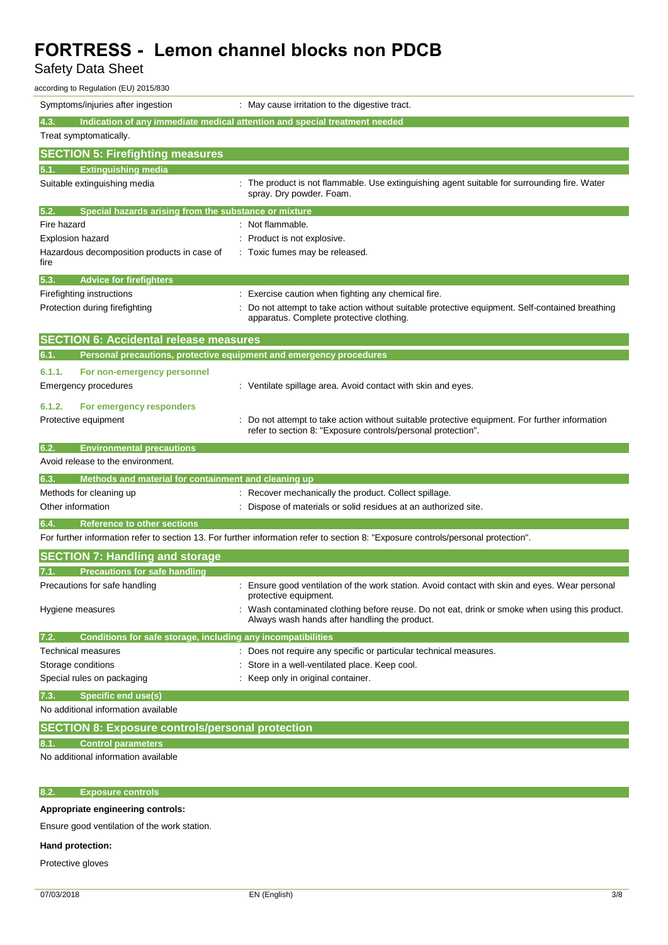Safety Data Sheet

| according to Regulation (EU) 2015/830                                |                                                                                                                                                              |
|----------------------------------------------------------------------|--------------------------------------------------------------------------------------------------------------------------------------------------------------|
| Symptoms/injuries after ingestion                                    | : May cause irritation to the digestive tract.                                                                                                               |
| 4.3.                                                                 | Indication of any immediate medical attention and special treatment needed                                                                                   |
| Treat symptomatically.                                               |                                                                                                                                                              |
| <b>SECTION 5: Firefighting measures</b>                              |                                                                                                                                                              |
| <b>Extinguishing media</b><br>5.1.                                   |                                                                                                                                                              |
| Suitable extinguishing media                                         | The product is not flammable. Use extinguishing agent suitable for surrounding fire. Water<br>spray. Dry powder. Foam.                                       |
| Special hazards arising from the substance or mixture<br>5.2.        |                                                                                                                                                              |
| Fire hazard                                                          | : Not flammable.                                                                                                                                             |
| <b>Explosion hazard</b>                                              | Product is not explosive.                                                                                                                                    |
| Hazardous decomposition products in case of<br>fire                  | Toxic fumes may be released.                                                                                                                                 |
| <b>Advice for firefighters</b><br>5.3.                               |                                                                                                                                                              |
| Firefighting instructions                                            | : Exercise caution when fighting any chemical fire.                                                                                                          |
| Protection during firefighting                                       | Do not attempt to take action without suitable protective equipment. Self-contained breathing<br>apparatus. Complete protective clothing.                    |
| <b>SECTION 6: Accidental release measures</b>                        |                                                                                                                                                              |
| 6.1.                                                                 | Personal precautions, protective equipment and emergency procedures                                                                                          |
| 6.1.1.<br>For non-emergency personnel                                |                                                                                                                                                              |
| <b>Emergency procedures</b>                                          | : Ventilate spillage area. Avoid contact with skin and eyes.                                                                                                 |
| 6.1.2.<br>For emergency responders                                   |                                                                                                                                                              |
| Protective equipment                                                 | Do not attempt to take action without suitable protective equipment. For further information<br>refer to section 8: "Exposure controls/personal protection". |
| 6.2.<br><b>Environmental precautions</b>                             |                                                                                                                                                              |
| Avoid release to the environment.                                    |                                                                                                                                                              |
| Methods and material for containment and cleaning up<br>6.3.         |                                                                                                                                                              |
| Methods for cleaning up                                              | Recover mechanically the product. Collect spillage.                                                                                                          |
| Other information                                                    | Dispose of materials or solid residues at an authorized site.                                                                                                |
| 6.4<br><b>Reference to other sections</b>                            |                                                                                                                                                              |
|                                                                      | For further information refer to section 13. For further information refer to section 8: "Exposure controls/personal protection".                            |
| <b>SECTION 7: Handling and storage</b>                               |                                                                                                                                                              |
| <b>Precautions for safe handling</b>                                 |                                                                                                                                                              |
| Precautions for safe handling                                        | Ensure good ventilation of the work station. Avoid contact with skin and eyes. Wear personal<br>protective equipment.                                        |
| Hygiene measures                                                     | Wash contaminated clothing before reuse. Do not eat, drink or smoke when using this product.<br>Always wash hands after handling the product.                |
| Conditions for safe storage, including any incompatibilities<br>7.2. |                                                                                                                                                              |
| Technical measures                                                   | : Does not require any specific or particular technical measures.                                                                                            |
| Storage conditions                                                   | Store in a well-ventilated place. Keep cool.                                                                                                                 |
| Special rules on packaging                                           | : Keep only in original container.                                                                                                                           |
| <b>Specific end use(s)</b><br>7.3.                                   |                                                                                                                                                              |
| No additional information available                                  |                                                                                                                                                              |
| <b>SECTION 8: Exposure controls/personal protection</b>              |                                                                                                                                                              |
| <b>Control parameters</b>                                            |                                                                                                                                                              |
| No additional information available                                  |                                                                                                                                                              |
|                                                                      |                                                                                                                                                              |

## **8.2. Exposure controls**

### **Appropriate engineering controls:**

Ensure good ventilation of the work station.

## **Hand protection:**

Protective gloves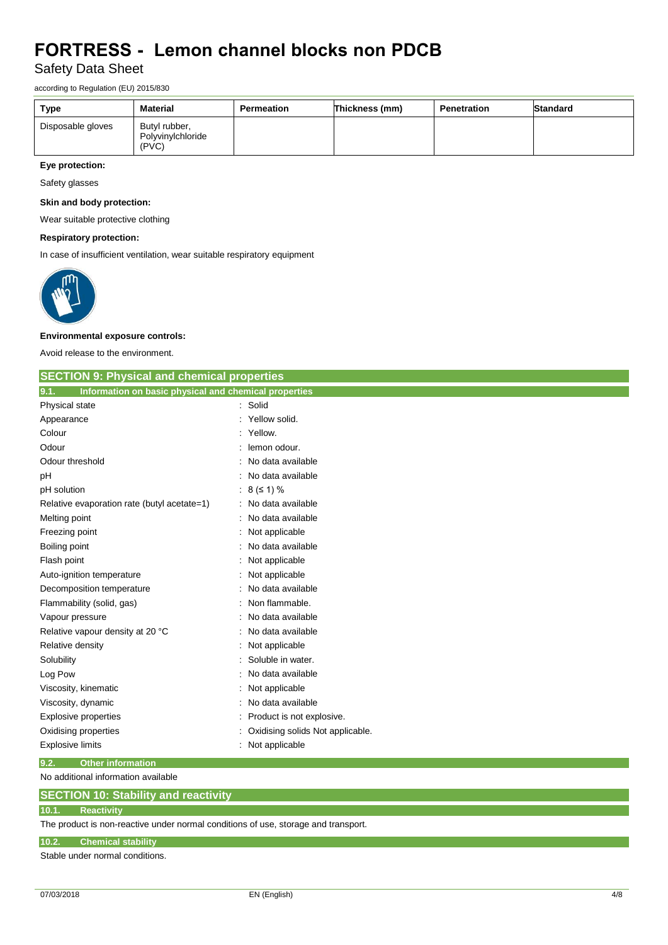Safety Data Sheet

according to Regulation (EU) 2015/830

| Type              | <b>Material</b>                             | Permeation | Thickness (mm) | <b>Penetration</b> | Standard |
|-------------------|---------------------------------------------|------------|----------------|--------------------|----------|
| Disposable gloves | Butyl rubber,<br>Polyvinvichloride<br>(PVC) |            |                |                    |          |

## **Eye protection:**

Safety glasses

## **Skin and body protection:**

Wear suitable protective clothing

### **Respiratory protection:**

In case of insufficient ventilation, wear suitable respiratory equipment



### **Environmental exposure controls:**

Avoid release to the environment.

| <b>SECTION 9: Physical and chemical properties</b>            |   |                                  |
|---------------------------------------------------------------|---|----------------------------------|
| Information on basic physical and chemical properties<br>9.1. |   |                                  |
| Physical state                                                |   | Solid                            |
| Appearance                                                    |   | Yellow solid.                    |
| Colour                                                        |   | Yellow.                          |
| Odour                                                         |   | lemon odour.                     |
| Odour threshold                                               |   | No data available                |
| pH                                                            |   | No data available                |
| pH solution                                                   | ÷ | $8 (51) \%$                      |
| Relative evaporation rate (butyl acetate=1)                   |   | No data available                |
| Melting point                                                 |   | No data available                |
| Freezing point                                                |   | Not applicable                   |
| Boiling point                                                 |   | No data available                |
| Flash point                                                   |   | Not applicable                   |
| Auto-ignition temperature                                     |   | Not applicable                   |
| Decomposition temperature                                     |   | No data available                |
| Flammability (solid, gas)                                     |   | Non flammable.                   |
| Vapour pressure                                               |   | No data available                |
| Relative vapour density at 20 °C                              |   | No data available                |
| Relative density                                              |   | Not applicable                   |
| Solubility                                                    |   | Soluble in water.                |
| Log Pow                                                       |   | No data available                |
| Viscosity, kinematic                                          |   | Not applicable                   |
| Viscosity, dynamic                                            |   | No data available                |
| Explosive properties                                          |   | Product is not explosive.        |
| Oxidising properties                                          |   | Oxidising solids Not applicable. |
| <b>Explosive limits</b>                                       |   | Not applicable                   |
| 9.2.<br><b>Other information</b>                              |   |                                  |

No additional information available

### **10.1. Reactivity**

The product is non-reactive under normal conditions of use, storage and transport.

### **10.2. Chemical stability**

Stable under normal conditions.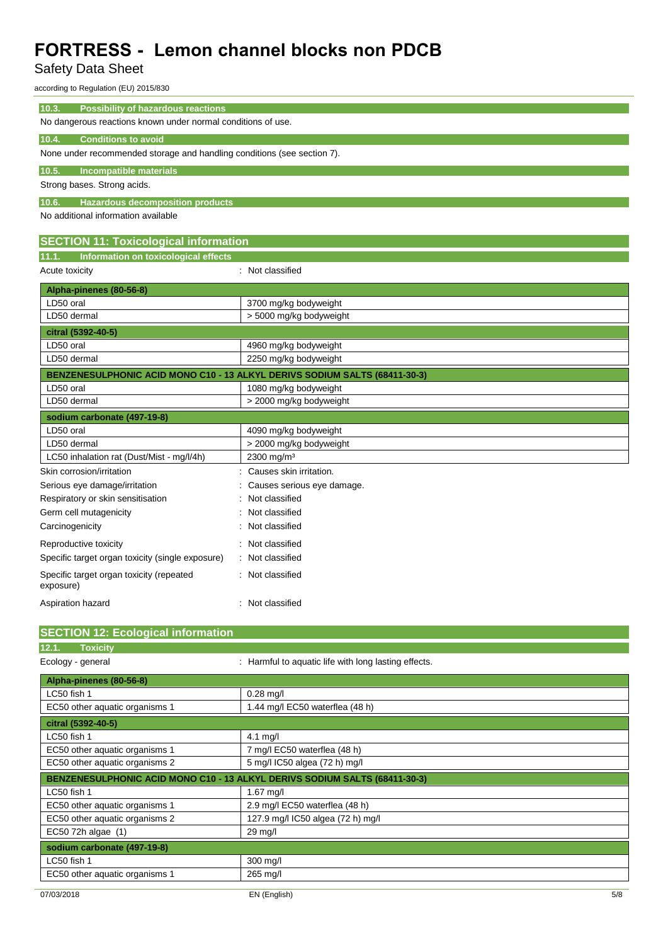Safety Data Sheet

according to Regulation (EU) 2015/830

| according to Regulation (EU) 2015/830                                                   |                                                      |  |
|-----------------------------------------------------------------------------------------|------------------------------------------------------|--|
| 10.3.<br><b>Possibility of hazardous reactions</b>                                      |                                                      |  |
| No dangerous reactions known under normal conditions of use.                            |                                                      |  |
| <b>Conditions to avoid</b><br>10.4.                                                     |                                                      |  |
| None under recommended storage and handling conditions (see section 7).                 |                                                      |  |
| 10.5.<br>Incompatible materials                                                         |                                                      |  |
| Strong bases. Strong acids.                                                             |                                                      |  |
|                                                                                         |                                                      |  |
| 10.6.<br><b>Hazardous decomposition products</b><br>No additional information available |                                                      |  |
|                                                                                         |                                                      |  |
| <b>SECTION 11: Toxicological information</b>                                            |                                                      |  |
| Information on toxicological effects<br>11.1.                                           |                                                      |  |
| Acute toxicity                                                                          | : Not classified                                     |  |
| Alpha-pinenes (80-56-8)                                                                 |                                                      |  |
| LD50 oral                                                                               | 3700 mg/kg bodyweight                                |  |
| LD50 dermal                                                                             | > 5000 mg/kg bodyweight                              |  |
| citral (5392-40-5)                                                                      |                                                      |  |
| LD50 oral                                                                               | 4960 mg/kg bodyweight                                |  |
| LD50 dermal                                                                             | 2250 mg/kg bodyweight                                |  |
| BENZENESULPHONIC ACID MONO C10 - 13 ALKYL DERIVS SODIUM SALTS (68411-30-3)              |                                                      |  |
| LD50 oral                                                                               | 1080 mg/kg bodyweight                                |  |
| LD50 dermal                                                                             | > 2000 mg/kg bodyweight                              |  |
| sodium carbonate (497-19-8)                                                             |                                                      |  |
| LD50 oral                                                                               | 4090 mg/kg bodyweight                                |  |
| LD50 dermal                                                                             | > 2000 mg/kg bodyweight                              |  |
| LC50 inhalation rat (Dust/Mist - mg/l/4h)                                               | 2300 mg/m <sup>3</sup>                               |  |
| Skin corrosion/irritation                                                               | Causes skin irritation.                              |  |
| Serious eye damage/irritation                                                           | Causes serious eye damage.                           |  |
| Respiratory or skin sensitisation                                                       | Not classified                                       |  |
| Germ cell mutagenicity                                                                  | Not classified                                       |  |
| Carcinogenicity                                                                         | Not classified                                       |  |
| Reproductive toxicity                                                                   | Not classified                                       |  |
| Specific target organ toxicity (single exposure)                                        | Not classified                                       |  |
| Specific target organ toxicity (repeated<br>exposure)                                   | : Not classified                                     |  |
| Aspiration hazard                                                                       | : Not classified                                     |  |
| <b>SECTION 12: Ecological information</b>                                               |                                                      |  |
| <b>Toxicity</b><br>12.1.                                                                |                                                      |  |
| Ecology - general                                                                       | : Harmful to aquatic life with long lasting effects. |  |
|                                                                                         |                                                      |  |
| Alpha-pinenes (80-56-8)<br>LC50 fish 1                                                  | $0.28$ mg/l                                          |  |
| EC50 other aquatic organisms 1                                                          | 1.44 mg/l EC50 waterflea (48 h)                      |  |
| citral (5392-40-5)                                                                      |                                                      |  |
| LC50 fish 1                                                                             | 4.1 mg/l                                             |  |
| EC50 other aquatic organisms 1                                                          | 7 mg/l EC50 waterflea (48 h)                         |  |
| EC50 other aquatic organisms 2                                                          | 5 mg/l IC50 algea (72 h) mg/l                        |  |
| BENZENESULPHONIC ACID MONO C10 - 13 ALKYL DERIVS SODIUM SALTS (68411-30-3)              |                                                      |  |
| LC50 fish 1                                                                             | 1.67 mg/l                                            |  |
| EC50 other aquatic organisms 1                                                          | 2.9 mg/l EC50 waterflea (48 h)                       |  |
| EC50 other aquatic organisms 2                                                          | 127.9 mg/l IC50 algea (72 h) mg/l                    |  |
| EC50 72h algae (1)                                                                      | 29 mg/l                                              |  |
| sodium carbonate (497-19-8)                                                             |                                                      |  |
| LC50 fish 1                                                                             | 300 mg/l                                             |  |

EC50 other aquatic organisms 1 265 mg/l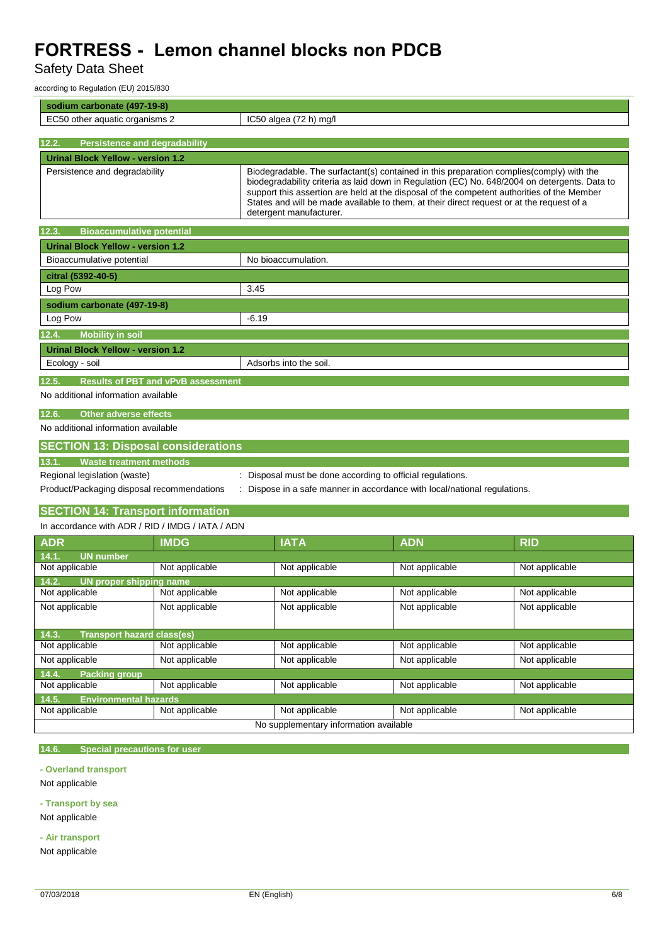Safety Data Sheet

according to Regulation (EU) 2015/830

| sodium carbonate (497-19-8)                        |                                                                                                                                                                                                                                                                                                                                                                                                                  |
|----------------------------------------------------|------------------------------------------------------------------------------------------------------------------------------------------------------------------------------------------------------------------------------------------------------------------------------------------------------------------------------------------------------------------------------------------------------------------|
| EC50 other aquatic organisms 2                     | $IC50$ algea $(72 h)$ mg/l                                                                                                                                                                                                                                                                                                                                                                                       |
|                                                    |                                                                                                                                                                                                                                                                                                                                                                                                                  |
| 12.2.<br><b>Persistence and degradability</b>      |                                                                                                                                                                                                                                                                                                                                                                                                                  |
| <b>Urinal Block Yellow - version 1.2</b>           |                                                                                                                                                                                                                                                                                                                                                                                                                  |
| Persistence and degradability                      | Biodegradable. The surfactant(s) contained in this preparation complies (comply) with the<br>biodegradability criteria as laid down in Regulation (EC) No. 648/2004 on detergents. Data to<br>support this assertion are held at the disposal of the competent authorities of the Member<br>States and will be made available to them, at their direct request or at the request of a<br>detergent manufacturer. |
| 12.3.<br><b>Bioaccumulative potential</b>          |                                                                                                                                                                                                                                                                                                                                                                                                                  |
| <b>Urinal Block Yellow - version 1.2</b>           |                                                                                                                                                                                                                                                                                                                                                                                                                  |
| Bioaccumulative potential                          | No bioaccumulation.                                                                                                                                                                                                                                                                                                                                                                                              |
| citral (5392-40-5)                                 |                                                                                                                                                                                                                                                                                                                                                                                                                  |
| Log Pow                                            | 3.45                                                                                                                                                                                                                                                                                                                                                                                                             |
| sodium carbonate (497-19-8)                        |                                                                                                                                                                                                                                                                                                                                                                                                                  |
| Log Pow                                            | $-6.19$                                                                                                                                                                                                                                                                                                                                                                                                          |
| <b>Mobility in soil</b><br>12.4.                   |                                                                                                                                                                                                                                                                                                                                                                                                                  |
| <b>Urinal Block Yellow - version 1.2</b>           |                                                                                                                                                                                                                                                                                                                                                                                                                  |
| Ecology - soil                                     | Adsorbs into the soil.                                                                                                                                                                                                                                                                                                                                                                                           |
| <b>Results of PBT and vPvB assessment</b><br>12.5. |                                                                                                                                                                                                                                                                                                                                                                                                                  |
| No additional information available                |                                                                                                                                                                                                                                                                                                                                                                                                                  |
| 12.6.<br><b>Other adverse effects</b>              |                                                                                                                                                                                                                                                                                                                                                                                                                  |
| No additional information available                |                                                                                                                                                                                                                                                                                                                                                                                                                  |
| <b>SECTION 13: Disposal considerations</b>         |                                                                                                                                                                                                                                                                                                                                                                                                                  |
| <b>Waste treatment methods</b><br>13.1.            |                                                                                                                                                                                                                                                                                                                                                                                                                  |
| Regional legislation (waste)                       | Disposal must be done according to official regulations.                                                                                                                                                                                                                                                                                                                                                         |

Product/Packaging disposal recommendations : Dispose in a safe manner in accordance with local/national regulations.

## **SECTION 14: Transport information** In accordance with ADR / RID / IMDG / IATA / ADN

| In accordance with ADR / RID / IMDG / IATA / ADN |                |                |                |                |  |  |
|--------------------------------------------------|----------------|----------------|----------------|----------------|--|--|
| <b>ADR</b>                                       | <b>IMDG</b>    | <b>IATA</b>    | <b>ADN</b>     | <b>RID</b>     |  |  |
| 14.1.<br><b>UN number</b>                        |                |                |                |                |  |  |
| Not applicable                                   | Not applicable | Not applicable | Not applicable | Not applicable |  |  |
| 14.2.<br>UN proper shipping name                 |                |                |                |                |  |  |
| Not applicable                                   | Not applicable | Not applicable | Not applicable | Not applicable |  |  |
| Not applicable                                   | Not applicable | Not applicable | Not applicable | Not applicable |  |  |
|                                                  |                |                |                |                |  |  |
| <b>Transport hazard class(es)</b><br>14.3.       |                |                |                |                |  |  |
| Not applicable                                   | Not applicable | Not applicable | Not applicable | Not applicable |  |  |
| Not applicable                                   | Not applicable | Not applicable | Not applicable | Not applicable |  |  |
| 14.4.<br><b>Packing group</b>                    |                |                |                |                |  |  |
| Not applicable                                   | Not applicable | Not applicable | Not applicable | Not applicable |  |  |
| <b>Environmental hazards</b><br>14.5.            |                |                |                |                |  |  |
| Not applicable                                   | Not applicable | Not applicable | Not applicable | Not applicable |  |  |
| No supplementary information available           |                |                |                |                |  |  |

## **14.6. Special precautions for user**

**- Overland transport**

Not applicable

**- Transport by sea** Not applicable

**- Air transport**

Not applicable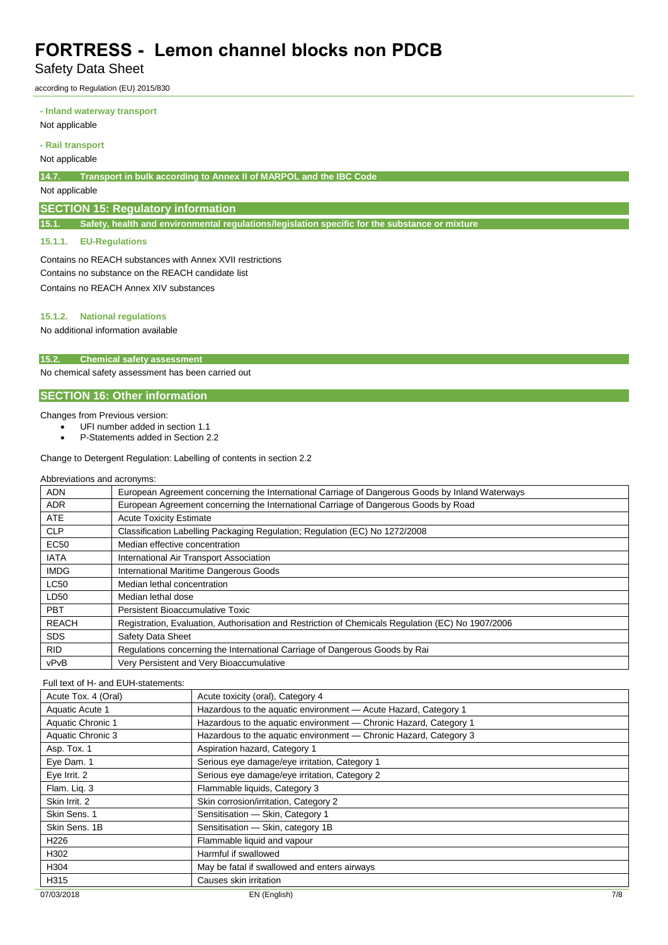Safety Data Sheet

according to Regulation (EU) 2015/830

#### **- Inland waterway transport**

Not applicable

#### **- Rail transport**

#### Not applicable

**14.7. Transport in bulk according to Annex II of MARPOL and the IBC Code**

## Not applicable

## **SECTION 15: Regulatory information**

**15.1. Safety, health and environmental regulations/legislation specific for the substance or mixture**

### **15.1.1. EU-Regulations**

Contains no REACH substances with Annex XVII restrictions Contains no substance on the REACH candidate list Contains no REACH Annex XIV substances

## **15.1.2. National regulations**

No additional information available

### **15.2. Chemical safety assessment**

No chemical safety assessment has been carried out

## **SECTION 16: Other information**

#### Changes from Previous version:

- UFI number added in section 1.1
- P-Statements added in Section 2.2

### Change to Detergent Regulation: Labelling of contents in section 2.2

#### Abbreviations and acronyms:

| <b>ADN</b>   | European Agreement concerning the International Carriage of Dangerous Goods by Inland Waterways   |
|--------------|---------------------------------------------------------------------------------------------------|
| <b>ADR</b>   | European Agreement concerning the International Carriage of Dangerous Goods by Road               |
| <b>ATE</b>   | <b>Acute Toxicity Estimate</b>                                                                    |
| <b>CLP</b>   | Classification Labelling Packaging Regulation; Regulation (EC) No 1272/2008                       |
| <b>EC50</b>  | Median effective concentration                                                                    |
| <b>IATA</b>  | International Air Transport Association                                                           |
| <b>IMDG</b>  | International Maritime Dangerous Goods                                                            |
| <b>LC50</b>  | Median lethal concentration                                                                       |
| LD50         | Median lethal dose                                                                                |
| PBT          | Persistent Bioaccumulative Toxic                                                                  |
| <b>REACH</b> | Registration, Evaluation, Authorisation and Restriction of Chemicals Regulation (EC) No 1907/2006 |
| <b>SDS</b>   | Safety Data Sheet                                                                                 |
| <b>RID</b>   | Regulations concerning the International Carriage of Dangerous Goods by Rai                       |
| vPvB         | Very Persistent and Very Bioaccumulative                                                          |

#### Full text of H- and EUH-statements:

| Acute Tox. 4 (Oral) | Acute toxicity (oral), Category 4                                 |     |
|---------------------|-------------------------------------------------------------------|-----|
| Aquatic Acute 1     | Hazardous to the aquatic environment - Acute Hazard, Category 1   |     |
| Aquatic Chronic 1   | Hazardous to the aquatic environment - Chronic Hazard, Category 1 |     |
| Aquatic Chronic 3   | Hazardous to the aquatic environment - Chronic Hazard, Category 3 |     |
| Asp. Tox. 1         | Aspiration hazard, Category 1                                     |     |
| Eye Dam. 1          | Serious eye damage/eye irritation, Category 1                     |     |
| Eye Irrit. 2        | Serious eye damage/eye irritation, Category 2                     |     |
| Flam. Lig. 3        | Flammable liquids, Category 3                                     |     |
| Skin Irrit. 2       | Skin corrosion/irritation, Category 2                             |     |
| Skin Sens, 1        | Sensitisation - Skin, Category 1                                  |     |
| Skin Sens, 1B       | Sensitisation - Skin, category 1B                                 |     |
| H <sub>226</sub>    | Flammable liquid and vapour                                       |     |
| H302                | Harmful if swallowed                                              |     |
| H304                | May be fatal if swallowed and enters airways                      |     |
| H315                | Causes skin irritation                                            |     |
| 07/03/2018          | EN (English)                                                      | 7/8 |